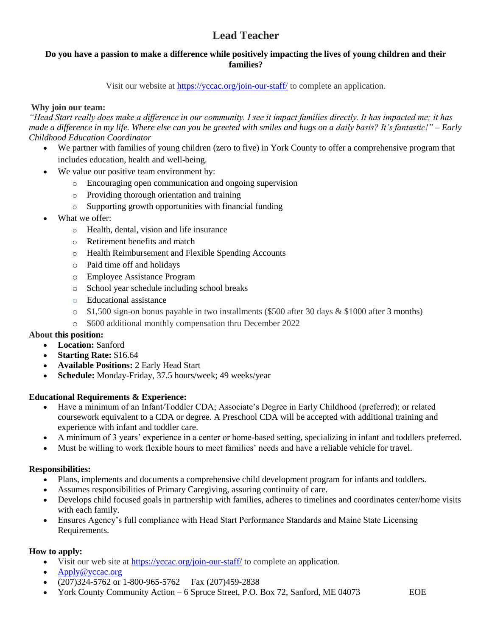### **Do you have a passion to make a difference while positively impacting the lives of young children and their families?**

Visit our website at<https://yccac.org/join-our-staff/> to complete an application.

#### **Why join our team:**

*"Head Start really does make a difference in our community. I see it impact families directly. It has impacted me; it has made a difference in my life. Where else can you be greeted with smiles and hugs on a daily basis? It's fantastic!" – Early Childhood Education Coordinator*

- We partner with families of young children (zero to five) in York County to offer a comprehensive program that includes education, health and well-being.
- We value our positive team environment by:
	- o Encouraging open communication and ongoing supervision
	- o Providing thorough orientation and training
	- o Supporting growth opportunities with financial funding
- What we offer:
	- o Health, dental, vision and life insurance
	- o Retirement benefits and match
	- o Health Reimbursement and Flexible Spending Accounts
	- o Paid time off and holidays
	- o Employee Assistance Program
	- o School year schedule including school breaks
	- o Educational assistance
	- $\circ$  \$1,500 sign-on bonus payable in two installments (\$500 after 30 days & \$1000 after 3 months)
	- o \$600 additional monthly compensation thru December 2022

#### **About this position:**

- **Location:** Sanford
- **Starting Rate:** \$16.64
- **Available Positions:** 2 Early Head Start
- **Schedule:** Monday-Friday, 37.5 hours/week; 49 weeks/year

#### **Educational Requirements & Experience:**

- Have a minimum of an Infant/Toddler CDA; Associate's Degree in Early Childhood (preferred); or related coursework equivalent to a CDA or degree. A Preschool CDA will be accepted with additional training and experience with infant and toddler care.
- A minimum of 3 years' experience in a center or home-based setting, specializing in infant and toddlers preferred.
- Must be willing to work flexible hours to meet families' needs and have a reliable vehicle for travel.

#### **Responsibilities:**

- Plans, implements and documents a comprehensive child development program for infants and toddlers.
- Assumes responsibilities of Primary Caregiving, assuring continuity of care.
- Develops child focused goals in partnership with families, adheres to timelines and coordinates center/home visits with each family.
- Ensures Agency's full compliance with Head Start Performance Standards and Maine State Licensing Requirements.

- Visit our web site at <https://yccac.org/join-our-staff/> to complete an application.
- [Apply@yccac.org](mailto:Apply@yccac.org)
- $(207)324-5762$  or 1-800-965-5762 Fax  $(207)459-2838$
- York County Community Action 6 Spruce Street, P.O. Box 72, Sanford, ME 04073 EOE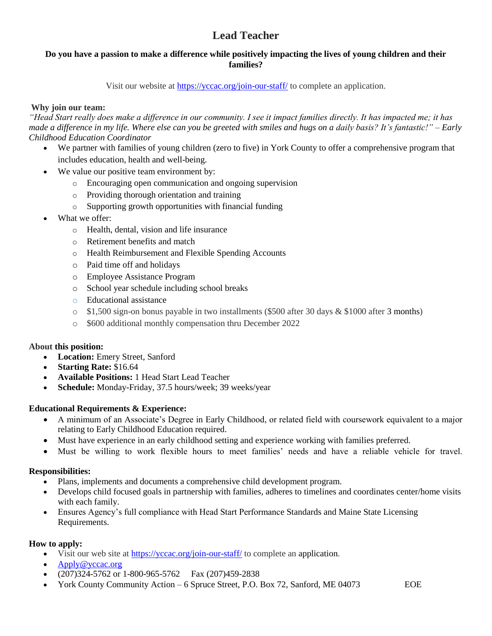### **Do you have a passion to make a difference while positively impacting the lives of young children and their families?**

Visit our website at<https://yccac.org/join-our-staff/> to complete an application.

### **Why join our team:**

*"Head Start really does make a difference in our community. I see it impact families directly. It has impacted me; it has made a difference in my life. Where else can you be greeted with smiles and hugs on a daily basis? It's fantastic!" – Early Childhood Education Coordinator*

- We partner with families of young children (zero to five) in York County to offer a comprehensive program that includes education, health and well-being.
- We value our positive team environment by:
	- o Encouraging open communication and ongoing supervision
	- o Providing thorough orientation and training
	- o Supporting growth opportunities with financial funding
- What we offer:
	- o Health, dental, vision and life insurance
	- o Retirement benefits and match
	- o Health Reimbursement and Flexible Spending Accounts
	- o Paid time off and holidays
	- o Employee Assistance Program
	- o School year schedule including school breaks
	- o Educational assistance
	- $\circ$  \$1,500 sign-on bonus payable in two installments (\$500 after 30 days & \$1000 after 3 months)
	- o \$600 additional monthly compensation thru December 2022

#### **About this position:**

- **Location:** Emery Street, Sanford
- **Starting Rate:** \$16.64
- **Available Positions:** 1 Head Start Lead Teacher
- **Schedule:** Monday-Friday, 37.5 hours/week; 39 weeks/year

#### **Educational Requirements & Experience:**

- A minimum of an Associate's Degree in Early Childhood, or related field with coursework equivalent to a major relating to Early Childhood Education required.
- Must have experience in an early childhood setting and experience working with families preferred.
- Must be willing to work flexible hours to meet families' needs and have a reliable vehicle for travel.

#### **Responsibilities:**

- Plans, implements and documents a comprehensive child development program.
- Develops child focused goals in partnership with families, adheres to timelines and coordinates center/home visits with each family.
- Ensures Agency's full compliance with Head Start Performance Standards and Maine State Licensing Requirements.

- Visit our web site at <https://yccac.org/join-our-staff/> to complete an application.
- [Apply@yccac.org](mailto:Apply@yccac.org)
- $(207)324-5762$  or 1-800-965-5762 Fax  $(207)459-2838$
- York County Community Action 6 Spruce Street, P.O. Box 72, Sanford, ME 04073 EOE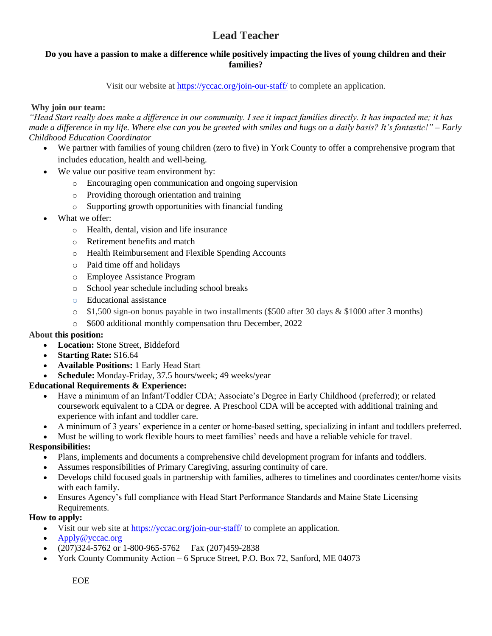### **Do you have a passion to make a difference while positively impacting the lives of young children and their families?**

Visit our website at<https://yccac.org/join-our-staff/> to complete an application.

### **Why join our team:**

*"Head Start really does make a difference in our community. I see it impact families directly. It has impacted me; it has made a difference in my life. Where else can you be greeted with smiles and hugs on a daily basis? It's fantastic!" – Early Childhood Education Coordinator*

- We partner with families of young children (zero to five) in York County to offer a comprehensive program that includes education, health and well-being.
- We value our positive team environment by:
	- o Encouraging open communication and ongoing supervision
	- o Providing thorough orientation and training
	- o Supporting growth opportunities with financial funding
- What we offer:
	- o Health, dental, vision and life insurance
	- o Retirement benefits and match
	- o Health Reimbursement and Flexible Spending Accounts
	- o Paid time off and holidays
	- o Employee Assistance Program
	- o School year schedule including school breaks
	- o Educational assistance
	- $\circ$  \$1,500 sign-on bonus payable in two installments (\$500 after 30 days & \$1000 after 3 months)
	- o \$600 additional monthly compensation thru December, 2022

#### **About this position:**

- **Location:** Stone Street, Biddeford
- **Starting Rate:** \$16.64
- **Available Positions:** 1 Early Head Start
- **Schedule:** Monday-Friday, 37.5 hours/week; 49 weeks/year

#### **Educational Requirements & Experience:**

- Have a minimum of an Infant/Toddler CDA; Associate's Degree in Early Childhood (preferred); or related coursework equivalent to a CDA or degree. A Preschool CDA will be accepted with additional training and experience with infant and toddler care.
- A minimum of 3 years' experience in a center or home-based setting, specializing in infant and toddlers preferred.
- Must be willing to work flexible hours to meet families' needs and have a reliable vehicle for travel.

#### **Responsibilities:**

- Plans, implements and documents a comprehensive child development program for infants and toddlers.
- Assumes responsibilities of Primary Caregiving, assuring continuity of care.
- Develops child focused goals in partnership with families, adheres to timelines and coordinates center/home visits with each family.
- Ensures Agency's full compliance with Head Start Performance Standards and Maine State Licensing Requirements.

- Visit our web site at <https://yccac.org/join-our-staff/> to complete an application.
- [Apply@yccac.org](mailto:Apply@yccac.org)
- $(207)324-5762$  or  $1-800-965-5762$  Fax  $(207)459-2838$
- York County Community Action 6 Spruce Street, P.O. Box 72, Sanford, ME 04073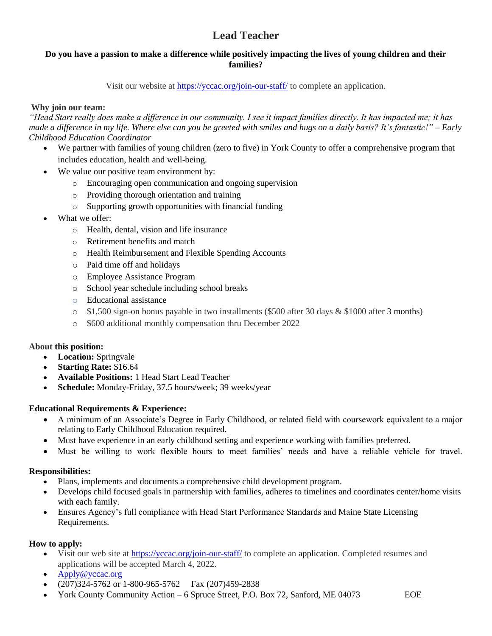### **Do you have a passion to make a difference while positively impacting the lives of young children and their families?**

Visit our website at<https://yccac.org/join-our-staff/> to complete an application.

#### **Why join our team:**

*"Head Start really does make a difference in our community. I see it impact families directly. It has impacted me; it has made a difference in my life. Where else can you be greeted with smiles and hugs on a daily basis? It's fantastic!" – Early Childhood Education Coordinator*

- We partner with families of young children (zero to five) in York County to offer a comprehensive program that includes education, health and well-being.
- We value our positive team environment by:
	- o Encouraging open communication and ongoing supervision
	- o Providing thorough orientation and training
	- o Supporting growth opportunities with financial funding
- What we offer:
	- o Health, dental, vision and life insurance
	- o Retirement benefits and match
	- o Health Reimbursement and Flexible Spending Accounts
	- o Paid time off and holidays
	- o Employee Assistance Program
	- o School year schedule including school breaks
	- o Educational assistance
	- $\circ$  \$1,500 sign-on bonus payable in two installments (\$500 after 30 days & \$1000 after 3 months)
	- o \$600 additional monthly compensation thru December 2022

#### **About this position:**

- **Location:** Springvale
- **Starting Rate:** \$16.64
- **Available Positions:** 1 Head Start Lead Teacher
- **Schedule:** Monday-Friday, 37.5 hours/week; 39 weeks/year

#### **Educational Requirements & Experience:**

- A minimum of an Associate's Degree in Early Childhood, or related field with coursework equivalent to a major relating to Early Childhood Education required.
- Must have experience in an early childhood setting and experience working with families preferred.
- Must be willing to work flexible hours to meet families' needs and have a reliable vehicle for travel.

#### **Responsibilities:**

- Plans, implements and documents a comprehensive child development program.
- Develops child focused goals in partnership with families, adheres to timelines and coordinates center/home visits with each family.
- Ensures Agency's full compliance with Head Start Performance Standards and Maine State Licensing Requirements.

- Visit our web site at <https://yccac.org/join-our-staff/> to complete an application. Completed resumes and applications will be accepted March 4, 2022.
- [Apply@yccac.org](mailto:Apply@yccac.org)
- (207)324-5762 or 1-800-965-5762 Fax (207)459-2838
- York County Community Action 6 Spruce Street, P.O. Box 72, Sanford, ME 04073 EOE